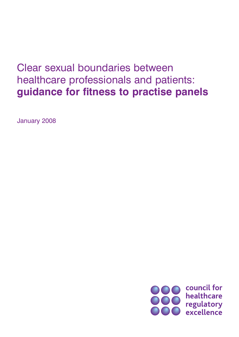# Clear sexual boundaries between healthcare professionals and patients: **guidance for fitness to practise panels**

January 2008

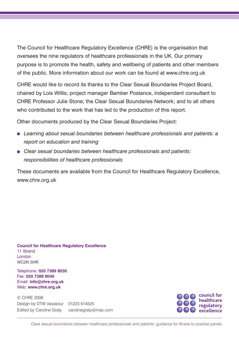The Council for Healthcare Regulatory Excellence (CHRE) is the organisation that oversees the nine regulators of healthcare professionals in the UK. Our primary purpose is to promote the health, safety and wellbeing of patients and other members of the public. More information about our work can be found at www.chre.org.uk

CHRE would like to record its thanks to the Clear Sexual Boundaries Project Board, chaired by Lois Willis; project manager Bamber Postance, independent consultant to CHRE Professor Julie Stone; the Clear Sexual Boundaries Network; and to all others who contributed to the work that has led to the production of this report.

Other documents produced by the Clear Sexual Boundaries Project:

- *Learning about sexual boundaries between healthcare professionals and patients: a report on education and training*
- *Clear sexual boundaries between healthcare professionals and patients: responsibilities of healthcare professionals*

These documents are available from the Council for Healthcare Regulatory Excellence, www.chre.org.uk

**Council for Healthcare Regulatory Excellence** 11 Strand London WC2N 5HR

Telephone: **020 7389 8030** Fax: **020 7389 8040** Email: **info@chre.org.uk** Web: **www.chre.org.uk**

© CHRE 2008 Design by DTW Vavasour 01223 614525 Edited by Caroline Graty carolinegraty@mac.com

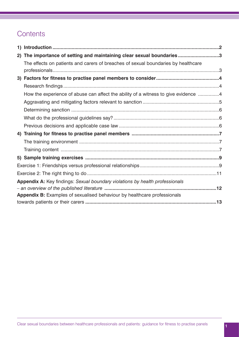# **Contents**

|                                                                              | 2) The importance of setting and maintaining clear sexual boundaries 3             |  |  |
|------------------------------------------------------------------------------|------------------------------------------------------------------------------------|--|--|
|                                                                              | The effects on patients and carers of breaches of sexual boundaries by healthcare  |  |  |
|                                                                              |                                                                                    |  |  |
|                                                                              |                                                                                    |  |  |
|                                                                              | How the experience of abuse can affect the ability of a witness to give evidence 4 |  |  |
|                                                                              |                                                                                    |  |  |
|                                                                              |                                                                                    |  |  |
|                                                                              |                                                                                    |  |  |
|                                                                              |                                                                                    |  |  |
|                                                                              |                                                                                    |  |  |
|                                                                              |                                                                                    |  |  |
|                                                                              |                                                                                    |  |  |
|                                                                              |                                                                                    |  |  |
|                                                                              |                                                                                    |  |  |
|                                                                              |                                                                                    |  |  |
| Appendix A: Key findings: Sexual boundary violations by health professionals |                                                                                    |  |  |
| Appendix B: Examples of sexualised behaviour by healthcare professionals     |                                                                                    |  |  |
|                                                                              |                                                                                    |  |  |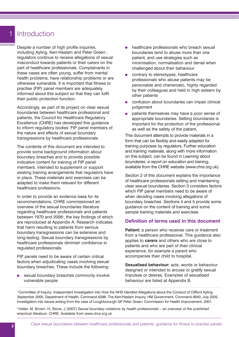# **Introduction**

Despite a number of high profile inquiries. including Ayling, Kerr-Haslam and Peter Green<sup>1</sup>, regulators continue to receive allegations of sexual misconduct towards patients or their carers on the part of healthcare professionals. Complainants in these cases are often young, suffer from mental health problems, have relationship problems or are otherwise vulnerable. It is important that fitness to practise (FtP) panel members are adequately informed about this subject so that they can fulfil their public protection function.

Accordingly, as part of its project on clear sexual boundaries between healthcare professional and patients, the Council for Healthcare Regulatory Excellence (CHRE) has developed this guidance to inform regulatory bodies' FtP panel members of the nature and effects of sexual boundary transgressions by healthcare professionals.

The contents of this document are intended to provide some background information about boundary breaches and to provide possible indicative content for training of FtP panel members, intended to supplement or support existing training arrangements that regulators have in place. These materials and exercises can be adapted to make them relevant for different healthcare professions.

In order to provide an evidence base for its recommendations, CHRE commissioned an overview of the sexual boundaries literature regarding healthcare professionals and patients between 1970 and 2006<sup>2</sup>, the key findings of which are reproduced at Appendix A. Research indicates that harm resulting to patients from serious boundary transgressions can be extensive and long-lasting. Sexual boundary transgressions by healthcare professionals diminish confidence in regulated professionals.

FtP panels need to be aware of certain critical factors when adjudicating cases involving sexual boundary breaches. These include the following:

sexual boundary breaches commonly involve vulnerable people

- healthcare professionals who breach sexual boundaries tend to abuse more than one patient, and use strategies such as minimisation, normalisation and denial when challenged about their behaviour
- contrary to stereotypes, healthcare  $\bullet$ professionals who abuse patients may be personable and charismatic, highly regarded by their colleagues and held in high esteem by other patients
- confusion about boundaries can impair clinical judgement
- patients themselves may have a poor sense of appropriate boundaries. Setting boundaries is important for the protection of the professional as well as the safety of the patient.

This document attempts to provide materials in a form that can be flexibly and easily adapted for training purposes by regulators. Further education and training materials, along with more information on this subject, can be found in *Learning about boundaries: a report on education and training*, available from the CHRE website (www.chre.org.uk).

Section 2 of this document explains the importance of healthcare professionals setting and maintaining clear sexual boundaries. Section 3 considers factors which FtP panel members need to be aware of when deciding cases involving allegations of boundary breaches. Sections 4 and 5 provide some guidance on the content of training and some sample training materials and exercises.

### **Definition of terms used in this document**

**Patient:** a person who receives care or treatment from a healthcare professional. This guidance also applies to **carers** and others who are close to patients and who are part of their clinical experience, for example a parent who accompanies their child to hospital.

**Sexualised behaviour:** acts, words or behaviour designed or intended to arouse or gratify sexual impulses or desires. Examples of sexualised behaviour are listed at Appendix B.

1 Committee of Inquiry: Independent Investigation into How the NHS Handled Allegations about the Conduct of Clifford Ayling, September 2005, Department of Health, Command 6298. The Kerr/Haslam Inquiry, HM Government, Command 6640, July 2005. Investigation into issues arising from the case of Loughborough GP Peter Green, Commission for Health Improvement, 2001.

2 Halter, M, Brown, H, Stone, J (2007) *Sexual boundary violations by health professionals – an overview of the published empirical literature*. CHRE. Available from www.chre.org.uk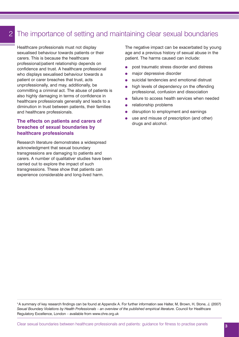# 2

# The importance of setting and maintaining clear sexual boundaries

Healthcare professionals must not display sexualised behaviour towards patients or their carers. This is because the healthcare professional/patient relationship depends on confidence and trust. A healthcare professional who displays sexualised behaviour towards a patient or carer breaches that trust, acts unprofessionally, and may, additionally, be committing a criminal act. The abuse of patients is also highly damaging in terms of confidence in healthcare professionals generally and leads to a diminution in trust between patients, their families and healthcare professionals.

# **The effects on patients and carers of breaches of sexual boundaries by healthcare professionals**

Research literature demonstrates a widespread acknowledgment that sexual boundary transgressions are damaging to patients and carers. A number of qualitative<sup>3</sup> studies have been carried out to explore the impact of such transgressions. These show that patients can experience considerable and long-lived harm.

The negative impact can be exacerbated by young age and a previous history of sexual abuse in the patient. The harms caused can include:

- post traumatic stress disorder and distress
- major depressive disorder  $\bullet$
- suicidal tendencies and emotional distrust
- high levels of dependency on the offending professional, confusion and dissociation
- failure to access health services when needed
- relationship problems  $\bullet$
- disruption to employment and earnings
- use and misuse of prescription (and other) drugs and alcohol.

<sup>3</sup> A summary of key research findings can be found at Appendix A. For further information see Halter, M, Brown, H, Stone, J, (2007) Sexual Boundary Violations by Health Professionals – an overview of the published empirical literature. Council for Healthcare Regulatory Excellence, London – available from www.chre.org.uk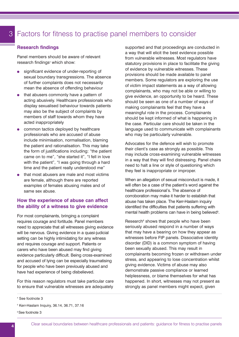# Factors for fitness to practise panel members to consider 3

#### **Research findings**

Panel members should be aware of relevant research findings<sup>4</sup> which show:

- significant evidence of under-reporting of sexual boundary transgressions. The absence of further complaints does not necessarily mean the absence of offending behaviour
- that abusers commonly have a pattern of acting abusively. Healthcare professionals who display sexualised behaviour towards patients may also be the subject of complaints by members of staff towards whom they have acted inappropriately
- common tactics deployed by healthcare professionals who are accused of abuse include minimisation, normalisation, blaming the patient and rationalisation. This may take the form of justifications including: "the patient came on to me", "she started it", "I fell in love with the patient", "I was going through a hard time and the patient really understood me"
- that most abusers are male and most victims are female, although there are reported examples of females abusing males and of same sex abuse.

### **How the experience of abuse can affect the ability of a witness to give evidence**

For most complainants, bringing a complaint requires courage and fortitude. Panel members need to appreciate that all witnesses giving evidence will be nervous. Giving evidence in a quasi-judicial setting can be highly intimidating for any witness and requires courage and support. Patients or carers who have been abused may find giving evidence particularly difficult. Being cross-examined and accused of lying can be especially traumatising for people who have been previously abused and have had experience of being disbelieved.

For this reason regulators must take particular care to ensure that vulnerable witnesses are adequately

supported and that proceedings are conducted in a way that will elicit the best evidence possible from vulnerable witnesses. Most regulators have statutory provisions in place to facilitate the giving of evidence by vulnerable witnesses. These provisions should be made available to panel members. Some regulators are exploring the use of victim impact statements as a way of allowing complainants, who may not be able or willing to give evidence, an opportunity to be heard. These should be seen as one of a number of ways of making complainants feel that they have a meaningful role in the process. Complainants should be kept informed of what is happening in the case. Particular care should be taken in the language used to communicate with complainants who may be particularly vulnerable.

Advocates for the defence will wish to promote their client's case as strongly as possible. This may include cross-examining vulnerable witnesses in a way that they will find distressing. Panel chairs need to halt a line or style of questioning which they feel is inappropriate or improper.

When an allegation of sexual misconduct is made, it will often be a case of the patient's word against the healthcare professional's. The absence of corroboration may make it harder to establish that abuse has taken place. The Kerr-Haslam inquiry identified the difficulties that patients suffering with mental health problems can have in being believed<sup>5</sup>.

Research<sup>6</sup> shows that people who have been seriously abused respond in a number of ways that may have a bearing on how they appear as witnesses before FtP panels. Dissociative identity disorder (DID) is a common symptom of having been sexually abused. This may result in complainants becoming frozen or withdrawn under stress, and appearing to lose concentration whilst giving evidence. Victims of abuse may also demonstrate passive compliance or learned helplessness, or blame themselves for what has happened. In short, witnesses may not present as strongly as panel members might expect, given

6 See footnote 3

<sup>4</sup> See footnote 3

<sup>5</sup> Kerr-Haslam Inquiry, 36.14, 36.71, 37.16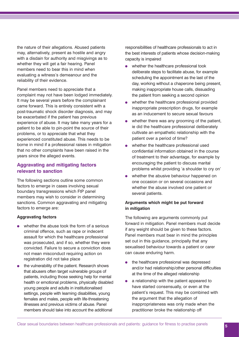the nature of their allegations. Abused patients may, alternatively, present as hostile and angry with a disdain for authority and misgivings as to whether they will get a fair hearing. Panel members need to bear this in mind when evaluating a witness's demeanour and the reliability of their evidence.

Panel members need to appreciate that a complaint may not have been lodged immediately. It may be several years before the complainant came forward. This is entirely consistent with a post-traumatic shock disorder diagnosis, and may be exacerbated if the patient has previous experience of abuse. It may take many years for a patient to be able to pin-point the source of their problems, or to appreciate that what they experienced constituted abuse. This needs to be borne in mind if a professional raises in mitigation that no other complaints have been raised in the years since the alleged events.

### **Aggravating and mitigating factors relevant to sanction**

The following sections outline some common factors to emerge in cases involving sexual boundary transgressions which FtP panel members may wish to consider in determining sanctions. Common aggravating and mitigating factors to emerge are:

#### **Aggravating factors**

- whether the abuse took the form of a serious criminal offence, such as rape or indecent assault for which the healthcare professional was prosecuted, and if so, whether they were convicted. Failure to secure a conviction does not mean misconduct requiring action on registration did not take place
- the vulnerability of the patient. Research shows that abusers often target vulnerable groups of patients, including those seeking help for mental health or emotional problems, physically disabled young people and adults in institutionalised settings, people with learning disabilities, young females and males, people with life-threatening illnesses and previous victims of abuse. Panel members should take into account the additional

responsibilities of healthcare professionals to act in the best interests of patients whose decision-making capacity is impaired

- whether the healthcare professional took deliberate steps to facilitate abuse, for example scheduling the appointment as the last of the day, working without a chaperone being present, making inappropriate house calls, dissuading the patient from seeking a second opinion
- whether the healthcare professional provided inappropriate prescription drugs, for example as an inducement to secure sexual favours
- whether there was any grooming of the patient, ie did the healthcare professional deliberately cultivate an empathetic relationship with the patient over a period of time?
- whether the healthcare professional used  $\bullet$ confidential information obtained in the course of treatment to their advantage, for example by encouraging the patient to discuss marital problems whilst providing 'a shoulder to cry on'
- whether the abusive behaviour happened on one occasion or on several occasions and whether the abuse involved one patient or several patients.

### **Arguments which might be put forward in mitigation**

The following are arguments commonly put forward in mitigation. Panel members must decide if any weight should be given to these factors. Panel members must bear in mind the principles set out in this guidance, principally that any sexualised behaviour towards a patient or carer can cause enduring harm.

- the healthcare professional was depressed  $\bullet$ and/or had relationship/other personal difficulties at the time of the alleged relationship
- a relationship with the patient appeared to  $\bullet$ have started consensually, or even at the patient's request. This may be combined with the argument that the allegation of inappropriateness was only made when the practitioner broke the relationship off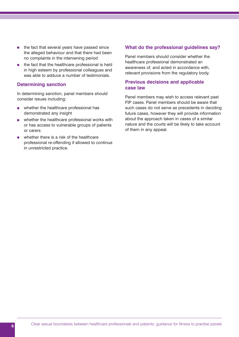- $\bullet$  the fact that several years have passed since the alleged behaviour and that there had been no complaints in the intervening period
- the fact that the healthcare professional is held in high esteem by professional colleagues and was able to adduce a number of testimonials.

#### **Determining sanction**

In determining sanction, panel members should consider issues including:

- whether the healthcare professional has  $\bullet$ demonstrated any insight
- whether the healthcare professional works with or has access to vulnerable groups of patients or carers
- whether there is a risk of the healthcare professional re-offending if allowed to continue in unrestricted practice.

#### **What do the professional guidelines say?**

Panel members should consider whether the healthcare professional demonstrated an awareness of, and acted in accordance with, relevant provisions from the regulatory body.

### **Previous decisions and applicable case law**

Panel members may wish to access relevant past FtP cases. Panel members should be aware that such cases do not serve as precedents in deciding future cases, however they will provide information about the approach taken in cases of a similar nature and the courts will be likely to take account of them in any appeal.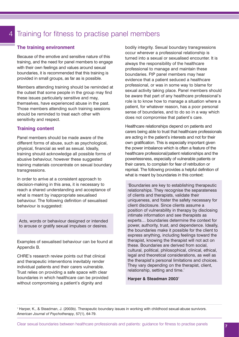# Training for fitness to practise panel members

#### **The training environment**

Because of the emotive and sensitive nature of this training, and the need for panel members to engage with their own feelings and values around sexual boundaries, it is recommended that this training is provided in small groups, as far as is possible.

Members attending training should be reminded at the outset that some people in the group may find these issues particularly sensitive and may, themselves, have experienced abuse in the past. Those members attending such training sessions should be reminded to treat each other with sensitivity and respect.

#### **Training content**

Panel members should be made aware of the different forms of abuse, such as psychological, physical, financial as well as sexual. Ideally, training should acknowledge all possible forms of abusive behaviour, however these suggested training materials concentrate on sexual boundary transgressions.

In order to arrive at a consistent approach to decision-making in this area, it is necessary to reach a shared understanding and acceptance of what is meant by inappropriate sexualised behaviour. The following definition of sexualised behaviour is suggested:

Acts, words or behaviour designed or intended to arouse or gratify sexual impulses or desires.

Examples of sexualised behaviour can be found at Appendix B.

CHRE's research review points out that clinical and therapeutic interventions inevitably render individual patients and their carers vulnerable. Trust relies on providing a safe space with clear boundaries in which healthcare can be provided without compromising a patient's dignity and

bodily integrity. Sexual boundary transgressions occur wherever a professional relationship is turned into a sexual or sexualised encounter. It is always the responsibility of the healthcare professional to manage and maintain these boundaries. FtP panel members may hear evidence that a patient seduced a healthcare professional, or was in some way to blame for sexual activity taking place. Panel members should be aware that part of any healthcare professional's role is to know how to manage a situation where a patient, for whatever reason, has a poor personal sense of boundaries, and to do so in a way which does not compromise that patient's care.

Healthcare relationships depend on patients and carers being able to trust that healthcare professionals are acting in the patient's interests and not for their own gratification. This is especially important given the power imbalance which is often a feature of the healthcare professional/patient relationships and the powerlessness, especially of vulnerable patients or their carers, to complain for fear of retribution or reprisal. The following provides a helpful definition of what is meant by boundaries in this context:

'Boundaries are key to establishing therapeutic relationships. They recognise the separateness of clients and therapists, validate their uniqueness, and foster the safety necessary for client disclosure. Since clients assume a position of vulnerability in therapy by disclosing intimate information and see therapists as experts… boundaries determine the context for power, authority, trust, and dependence. Ideally, the boundaries make it possible for the client to express anything, including feelings toward the therapist, knowing the therapist will not act on these. Boundaries are derived from social, cultural, political, philosophical, clinical, ethical, legal and theoretical considerations, as well as the therapist's personal limitations and choices. They vary depending on the therapist, client, relationship, setting and time.'

#### **Harper & Steadman 2003**<sup>7</sup>

<sup>7</sup> Harper, K., & Steadman, J. (2003b). Therapeutic boundary issues in working with childhood sexual-abuse survivors. *American Journal of Psychotherapy*, 57(1), 64-79.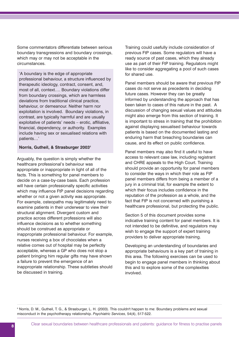Some commentators differentiate between serious boundary transgressions and boundary crossings, which may or may not be acceptable in the circumstances.

'A boundary is the edge of appropriate professional behaviour, a structure influenced by therapeutic ideology, contract, consent, and, most of all, context…. Boundary violations differ from boundary crossings, which are harmless deviations from traditional clinical practice, behaviour, or demeanour. Neither harm nor exploitation is involved. Boundary violations, in contrast, are typically harmful and are usually exploitative of patients' needs – erotic, affiliative, financial, dependency, or authority. Examples include having sex or sexualised relations with patients…'

#### **Norris, Gutheil, & Strasburger 2003**<sup>8</sup>

Arguably, the question is simply whether the healthcare professional's behaviour was appropriate or inappropriate in light of all of the facts. This is something for panel members to decide on a case-by-case basis. Each profession will have certain professionally specific activities which may influence FtP panel decisions regarding whether or not a given activity was appropriate. For example, osteopaths may legitimately need to examine patients in their underwear to view their structural alignment. Divergent custom and practice across different professions will also influence decisions as to whether something should be construed as appropriate or inappropriate professional behaviour. For example, nurses receiving a box of chocolates when a relative comes out of hospital may be perfectly acceptable, whereas a GP who does not stop a patient bringing him regular gifts may have shown a failure to prevent the emergence of an inappropriate relationship. These subtleties should be discussed in training.

Training could usefully include consideration of previous FtP cases. Some regulators will have a ready source of past cases, which they already use as part of their FtP training. Regulators might like to consider aggregating a pool of such cases for shared use.

Panel members should be aware that previous FtP cases do not serve as precedents in deciding future cases. However they can be greatly informed by understanding the approach that has been taken to cases of this nature in the past. A discussion of changing sexual values and attitudes might also emerge from this section of training. It is important to stress in training that the prohibition against displaying sexualised behaviour towards patients is based on the documented lasting and enduring harm that breaching boundaries can cause, and its effect on public confidence.

Panel members may also find it useful to have access to relevant case law, including registrant and CHRE appeals to the High Court. Training should provide an opportunity for panel members to consider the ways in which their role as FtP panel members differs from being a member of a jury in a criminal trial, for example the extent to which their focus includes confidence in the reputation of the profession as a whole, and the fact that FtP is not concerned with punishing a healthcare professional, but protecting the public.

Section 5 of this document provides some indicative training content for panel members. It is not intended to be definitive, and regulators may wish to engage the support of expert training providers to deliver appropriate training.

Developing an understanding of boundaries and appropriate behaviours is a key part of training in this area. The following exercises can be used to begin to engage panel members in thinking about this and to explore some of the complexities involved.

<sup>8</sup> Norris, D. M., Gutheil, T. G., & Strasburger, L. H. (2003). This couldn't happen to me: Boundary problems and sexual misconduct in the psychotherapy relationship. *Psychiatric Services*, 54(4), 517-522.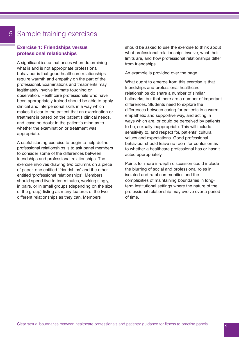# Sample training exercises

# **Exercise 1: Friendships versus professional relationships**

A significant issue that arises when determining what is and is not appropriate professional behaviour is that good healthcare relationships require warmth and empathy on the part of the professional. Examinations and treatments may legitimately involve intimate touching or observation. Healthcare professionals who have been appropriately trained should be able to apply clinical and interpersonal skills in a way which makes it clear to the patient that an examination or treatment is based on the patient's clinical needs, and leave no doubt in the patient's mind as to whether the examination or treatment was appropriate.

A useful starting exercise to begin to help define professional relationships is to ask panel members to consider some of the differences between friendships and professional relationships. The exercise involves drawing two columns on a piece of paper, one entitled 'friendships' and the other entitled 'professional relationships'. Members should spend five to ten minutes, working singly, in pairs, or in small groups (depending on the size of the group) listing as many features of the two different relationships as they can. Members

should be asked to use the exercise to think about what professional relationships involve, what their limits are, and how professional relationships differ from friendships.

An example is provided over the page.

What ought to emerge from this exercise is that friendships and professional healthcare relationships do share a number of similar hallmarks, but that there are a number of important differences. Students need to explore the differences between caring for patients in a warm, empathetic and supportive way, and acting in ways which are, or could be perceived by patients to be, sexually inappropriate. This will include sensitivity to, and respect for, patients' cultural values and expectations. Good professional behaviour should leave no room for confusion as to whether a healthcare professional has or hasn't acted appropriately.

Points for more in-depth discussion could include the blurring of social and professional roles in isolated and rural communities and the complexities of maintaining boundaries in longterm institutional settings where the nature of the professional relationship may evolve over a period of time.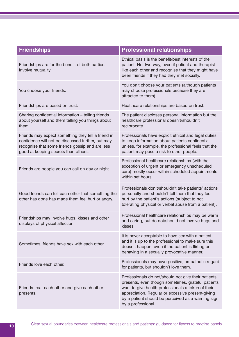| <b>Friendships</b>                                                                                                                                                                                 | <b>Professional relationships</b>                                                                                                                                                                                                                                                                |
|----------------------------------------------------------------------------------------------------------------------------------------------------------------------------------------------------|--------------------------------------------------------------------------------------------------------------------------------------------------------------------------------------------------------------------------------------------------------------------------------------------------|
| Friendships are for the benefit of both parties.<br>Involve mutuality.                                                                                                                             | Ethical basis is the benefit/best interests of the<br>patient. Not two-way, even if patient and therapist<br>like each other and recognise that they might have<br>been friends if they had they met socially.                                                                                   |
| You choose your friends.                                                                                                                                                                           | You don't choose your patients (although patients<br>may choose professionals because they are<br>attracted to them).                                                                                                                                                                            |
| Friendships are based on trust.                                                                                                                                                                    | Healthcare relationships are based on trust.                                                                                                                                                                                                                                                     |
| Sharing confidential information - telling friends<br>about yourself and them telling you things about<br>them.                                                                                    | The patient discloses personal information but the<br>healthcare professional doesn't/shouldn't<br>reciprocate.                                                                                                                                                                                  |
| Friends may expect something they tell a friend in<br>confidence will not be discussed further, but may<br>recognise that some friends gossip and are less<br>good at keeping secrets than others. | Professionals have explicit ethical and legal duties<br>to keep information about patients confidential<br>unless, for example, the professional feels that the<br>patient may pose a risk to other people.                                                                                      |
| Friends are people you can call on day or night.                                                                                                                                                   | Professional healthcare relationships (with the<br>exception of urgent or emergency unscheduled<br>care) mostly occur within scheduled appointments<br>within set hours.                                                                                                                         |
| Good friends can tell each other that something the<br>other has done has made them feel hurt or angry.                                                                                            | Professionals don't/shouldn't take patients' actions<br>personally and shouldn't tell them that they feel<br>hurt by the patient's actions (subject to not<br>tolerating physical or verbal abuse from a patient).                                                                               |
| Friendships may involve hugs, kisses and other<br>displays of physical affection.                                                                                                                  | Professional healthcare relationships may be warm<br>and caring, but do not/should not involve hugs and<br>kisses.                                                                                                                                                                               |
| Sometimes, friends have sex with each other.                                                                                                                                                       | It is never acceptable to have sex with a patient,<br>and it is up to the professional to make sure this<br>doesn't happen, even if the patient is flirting or<br>behaving in a sexually provocative manner.                                                                                     |
| Friends love each other.                                                                                                                                                                           | Professionals may have positive, empathetic regard<br>for patients, but shouldn't love them.                                                                                                                                                                                                     |
| Friends treat each other and give each other<br>presents.                                                                                                                                          | Professionals do not/should not give their patients<br>presents, even though sometimes, grateful patients<br>want to give health professionals a token of their<br>appreciation. Regular or excessive present-giving<br>by a patient should be perceived as a warning sign<br>by a professional. |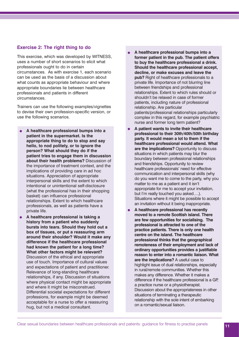#### **Exercise 2: The right thing to do**

This exercise, which was developed by WITNESS, uses a number of short scenarios to elicit what professionals ought to do in certain circumstances. As with exercise 1, each scenario can be used as the basis of a discussion about what counts as appropriate behaviour and where appropriate boundaries lie between healthcare professionals and patients in different circumstances.

Trainers can use the following examples/vignettes to devise their own profession-specific version, or use the following scenarios.

- **A healthcare professional bumps into a patient in the supermarket. Is the appropriate thing to do to stop and say hello, to nod politely, or to ignore the person? What should they do if the patient tries to engage them in discussion about their health problems?** Discussion of the importance of treatment context, and the implications of providing care in ad hoc situations. Appreciation of appropriate interpersonal skills and the extent to which intentional or unintentional self-disclosure (what the professional has in their shopping basket) can influence professional relationships. Extent to which healthcare professionals, as well as patients have a private life.
- **A healthcare professional is taking a history from a patient who suddenly bursts into tears. Should they hold out a box of tissues, or put a reassuring arm around their shoulder? Would it make any difference if the healthcare professional had known the patient for a long time? What other factors might be relevant?** Discussion of the ethical and appropriate use of touch. Importance of cultural values and expectations of patient and practitioner. Relevance of long-standing healthcare relationships, if any. Discussion of situations where physical contact might be appropriate and where it might be misconstrued. Differential societal expectations for different professions, for example might be deemed acceptable for a nurse to offer a reassuring hug, but not a medical consultant.
- **A healthcare professional bumps into a former patient in the pub. The patient offers to buy the healthcare professional a drink. Should the healthcare professional accept, decline, or make excuses and leave the pub?** Right of healthcare professionals to a private life. Importance of not blurring line between friendships and professional relationships. Extent to which rules should or shouldn't be relaxed in case of former patients, including nature of professional relationship. Are particular patients/professional relationships particularly complex in this regard, for example psychiatric nurse and former long term patient?
- **A patient wants to invite their healthcare professional to their 30th/40th/50th birthday party. It would mean a lot to them if the healthcare professional would attend. What are the implications?** Opportunity to discuss situations in which patients may blur the boundary between professional relationships and friendships. Opportunity to review healthcare professionals' need for effective communication and interpersonal skills (why do you want me to come to the party, why you matter to me as a patient and it isn't appropriate for me to accept your invitation, but I'm really touched you asked….). Situations where it might be possible to accept an invitation without it being inappropriate.
- **A healthcare professional has recently moved to a remote Scottish island. There are few opportunities for socialising. The professional is attracted to one of the practice patients. There is only one health centre on the island. The healthcare professional thinks that the geographical remoteness of their employment and lack of ordinary opportunities provides a justifiable reason to enter into a romantic liaison. What are the implications?** A useful case to highlight issue of dual relationships, especially in rural/remote communities. Whether this makes any difference. Whether it makes a difference if the healthcare professional is a GP, a practice nurse or a physiotherapist. Discussion about the appropriateness in other situations of terminating a therapeutic relationship with the sole intent of embarking on a romantic/sexual liaison.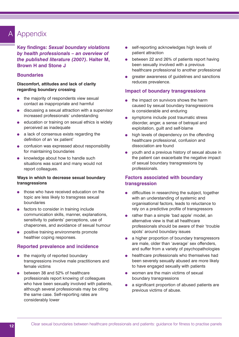#### Appendix A

**Key findings:** *Sexual boundary violations by health professionals – an overview of the published literature (2007)***. Halter M, Brown H and Stone J**

### **Boundaries**

#### **Discomfort, attitudes and lack of clarity regarding boundary crossing**

- the majority of respondents view sexual contact as inappropriate and harmful
- discussing a sexual attraction with a supervisor  $\bullet$ increased professionals' understanding
- education or training on sexual ethics is widely perceived as inadequate
- a lack of consensus exists regarding the definition of an 'ex patient'
- **•** confusion was expressed about responsibility for maintaining boundaries
- knowledge about how to handle such situations was scant and many would not report colleagues.

#### **Ways in which to decrease sexual boundary transgressions**

- those who have received education on the topic are less likely to transgress sexual boundaries
- **•** factors to consider in training include communication skills, manner, explanations, sensitivity to patients' perceptions, use of chaperones, and avoidance of sexual humour
- positive training environments promote healthier coping responses.

### **Reported prevalence and incidence**

- the majority of reported boundary transgressions involve male practitioners and female victims
- between 38 and 52% of healthcare professionals report knowing of colleagues who have been sexually involved with patients, although several professionals may be citing the same case. Self-reporting rates are considerably lower
- self-reporting acknowledges high levels of patient attraction
- between 22 and 26% of patients report having been sexually involved with a previous healthcare professional to another professional
- greater awareness of guidelines and sanctions reduces prevalence.

#### **Impact of boundary transgressions**

- the impact on survivors shows the harm caused by sexual boundary transgressions is considerable and enduring
- symptoms include post traumatic stress disorder, anger, a sense of betrayal and exploitation, guilt and self-blame
- high levels of dependency on the offending healthcare professional, confusion and dissociation are found
- youth and a previous history of sexual abuse in the patient can exacerbate the negative impact of sexual boundary transgressions by professionals.

# **Factors associated with boundary transgression**

- difficulties in researching the subject, together  $\bullet$ with an understanding of systemic and organisational factors, leads to reluctance to rely on a predictive profile of transgressors
- rather than a simple 'bad apple' model, an alternative view is that all healthcare professionals should be aware of their 'trouble spots' around boundary issues
- a higher proportion of boundary transgressors are male, older than 'average' sex offenders, and suffer from a variety of psychopathologies
- healthcare professionals who themselves had  $\bullet$ been severely sexually abused are more likely to have engaged sexually with patients
- $\bullet$ women are the main victims of sexual boundary transgressions
- $\bullet$ a significant proportion of abused patients are previous victims of abuse.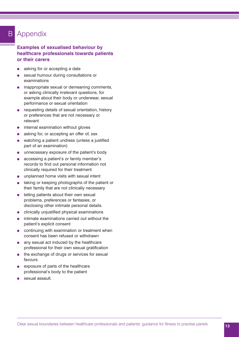# **B** Appendix

### **Examples of sexualised behaviour by healthcare professionals towards patients or their carers**

- asking for or accepting a date
- sexual humour during consultations or  $\bullet$ examinations
- inappropriate sexual or demeaning comments,  $\bullet$ or asking clinically irrelevant questions, for example about their body or underwear, sexual performance or sexual orientation
- requesting details of sexual orientation, history or preferences that are not necessary or relevant
- internal examination without gloves  $\bullet$
- asking for, or accepting an offer of, sex  $\bullet$
- $\bullet$ watching a patient undress (unless a justified part of an examination)
- unnecessary exposure of the patient's body  $\bullet$
- accessing a patient's or family member's  $\bullet$ records to find out personal information not clinically required for their treatment
- unplanned home visits with sexual intent
- taking or keeping photographs of the patient or  $\bullet$ their family that are not clinically necessary
- telling patients about their own sexual  $\bullet$ problems, preferences or fantasies, or disclosing other intimate personal details.
- clinically unjustified physical examinations  $\bullet$
- intimate examinations carried out without the  $\bullet$ patient's explicit consent
- continuing with examination or treatment when consent has been refused or withdrawn
- any sexual act induced by the healthcare professional for their own sexual gratification
- the exchange of drugs or services for sexual favours
- exposure of parts of the healthcare  $\blacksquare$ professional's body to the patient
- sexual assault.